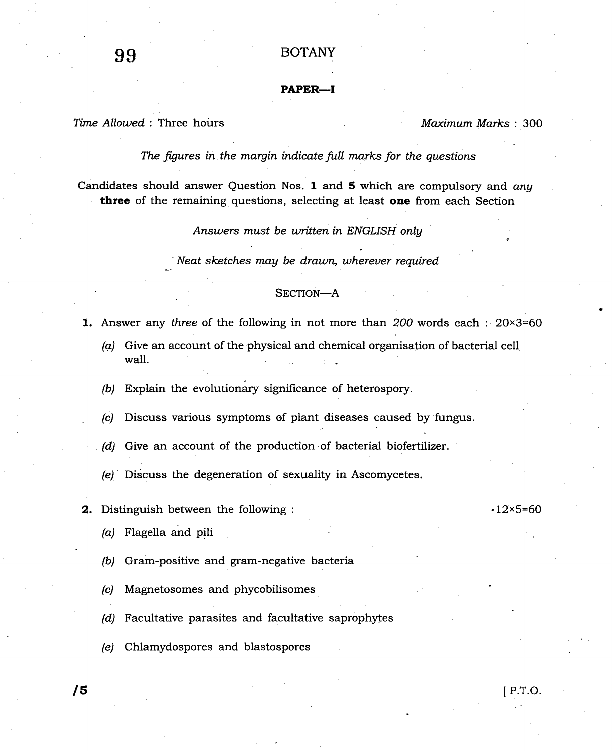## PAPER-I

Time Allowed: Three hours and the material method of the Maximum Marks : 300

The figures in the margin indicate full marks for the questions

Candidates should answer Question Nos. 1 and 5 which are compulsory and any three of the remaining questions, selecting at least one from each Section

Answers must be written in ENGLISH onlg

Neat sketches may be drawn, whereuer required

## SECTION-A

- **1.** Answer any three of the following in not more than 200 words each :  $20\times3=60$ 
	- (q) Give an account of the physical and chemical organisation of bacterial cell wall.
	- (b) Explain the evolutionary significance of heterospory.
	- (c) Discuss various symptoms of plant diseases caused by fungus.
	- (d) Give an account of the production of bacterial biofertilizer.
	- (e) Discuss the degeneration of sexuality in Ascomycetes.
- **2.** Distinguish between the following :  $12 \times 5=60$

- (a) Flagella and pili
- (b) Gram-positive and gram-negative bacteria
- (c) Magnetosomes and phycobilisomes
- $(d)$  Facultative parasites and facultative saprophytes
- (e) Chlamydospores and blastospores

 $\sqrt{5}$  P.T.O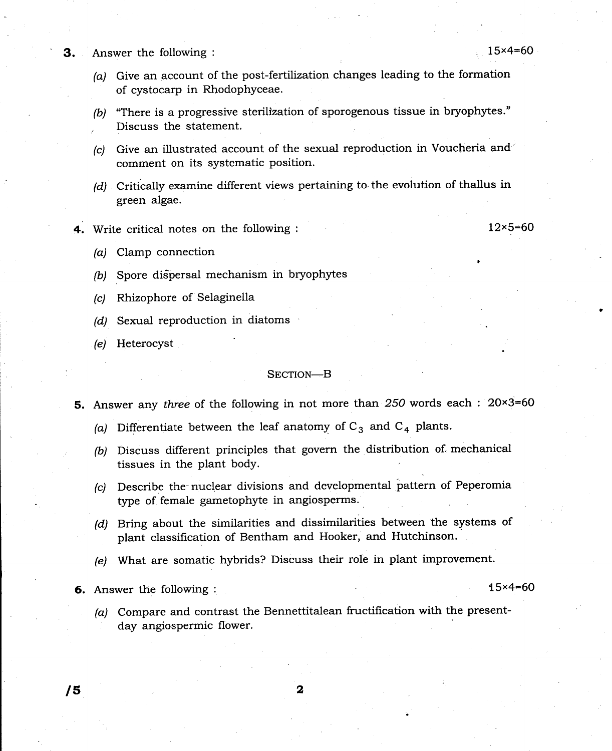**3.** Answer the following :  $15 \times 4 = 60$ 

- (a) Give an account of the post-fertilization changes leading to the formation of cystocarp in Rhodophyceae.
- (b) "There is a progressive sterilization of sporogenous tissue in bryophytes." , Discuss the statement.
- (c) Give an illustrated account of the sexual reproduction in Voucheria and comment on its systematic position.
- (d) Critically examine different views pertaining to the evolution of thallus in green algae.
- 4. Write critical notes on the following :  $12 \times 5=60$

- (a) Clamp connection
- (b) Spore dispersal mechanism in bryophytes
- (c) Rhizophore of Selaginella
- (d) Sexual reproduction in diatoms
- (e) Heterocyst

## SECTION-B

- 5. Answer any three of the following in not more than 250 words each : 20×3=60
	- (a) Differentiate between the leaf anatomy of  $C_3$  and  $C_4$  plants.
	- (b) Discuss different principles that govern the distribution of. mechanical tissues in the plant bodY.
	- (c) Describe the nuclear divisions and developmental pattern of Peperomia type of female gametophyte in angiosperms.
	- (d) Bring about the similarities and dissimilarities between the systems of plant classification of Bentham and Hooker, and Hutchinson.
	- (e) What are somatic hybrids? Discuss their role in plant improvement.

6. Answer the following : 15x4=60

(a) Compare and contrast the Bennettitalean fructification with the presentday angiospermic flower.